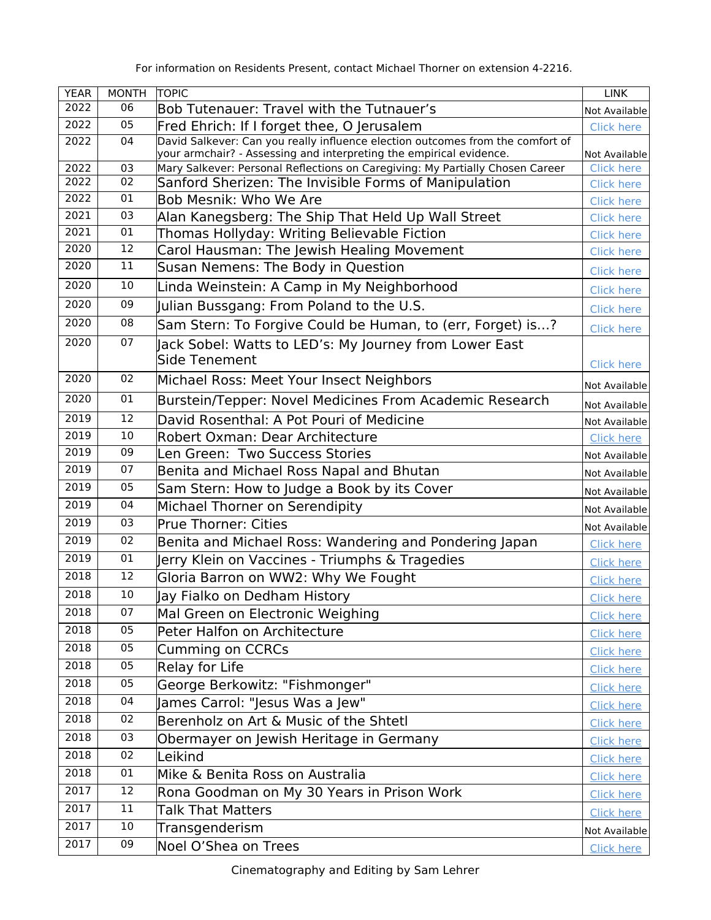|  |  | For information on Residents Present, contact Michael Thorner on extension 4-2216. |  |  |
|--|--|------------------------------------------------------------------------------------|--|--|
|--|--|------------------------------------------------------------------------------------|--|--|

| <b>YEAR</b> | <b>MONTH</b> | TOPIC                                                                                                                                                 | <b>LINK</b>                        |
|-------------|--------------|-------------------------------------------------------------------------------------------------------------------------------------------------------|------------------------------------|
| 2022        | 06           | Bob Tutenauer: Travel with the Tutnauer's                                                                                                             | Not Available                      |
| 2022        | 05           | Fred Ehrich: If I forget thee, O Jerusalem                                                                                                            | <b>Click here</b>                  |
| 2022        | 04           | David Salkever: Can you really influence election outcomes from the comfort of<br>your armchair? - Assessing and interpreting the empirical evidence. |                                    |
| 2022        | 03           | Mary Salkever: Personal Reflections on Caregiving: My Partially Chosen Career                                                                         | Not Available<br><b>Click here</b> |
| 2022        | 02           | Sanford Sherizen: The Invisible Forms of Manipulation                                                                                                 | <b>Click here</b>                  |
| 2022        | 01           | Bob Mesnik: Who We Are                                                                                                                                | <b>Click here</b>                  |
| 2021        | 03           | Alan Kanegsberg: The Ship That Held Up Wall Street                                                                                                    | <b>Click here</b>                  |
| 2021        | 01           | Thomas Hollyday: Writing Believable Fiction                                                                                                           | <b>Click here</b>                  |
| 2020        | 12           | Carol Hausman: The Jewish Healing Movement                                                                                                            | <b>Click here</b>                  |
| 2020        | 11           | Susan Nemens: The Body in Question                                                                                                                    | <b>Click here</b>                  |
| 2020        | 10           | Linda Weinstein: A Camp in My Neighborhood                                                                                                            | <b>Click here</b>                  |
| 2020        | 09           | Julian Bussgang: From Poland to the U.S.                                                                                                              | <b>Click here</b>                  |
| 2020        | 08           | Sam Stern: To Forgive Could be Human, to (err, Forget) is?                                                                                            | <b>Click here</b>                  |
| 2020        | 07           | Jack Sobel: Watts to LED's: My Journey from Lower East                                                                                                |                                    |
|             |              | Side Tenement                                                                                                                                         | <b>Click here</b>                  |
| 2020        | 02           | Michael Ross: Meet Your Insect Neighbors                                                                                                              | Not Available                      |
| 2020        | 01           | Burstein/Tepper: Novel Medicines From Academic Research                                                                                               | Not Available                      |
| 2019        | 12           | David Rosenthal: A Pot Pouri of Medicine                                                                                                              | Not Available                      |
| 2019        | 10           | Robert Oxman: Dear Architecture                                                                                                                       | <b>Click here</b>                  |
| 2019        | 09           | Len Green: Two Success Stories                                                                                                                        | Not Available                      |
| 2019        | 07           | Benita and Michael Ross Napal and Bhutan                                                                                                              | Not Available                      |
| 2019        | 05           | Sam Stern: How to Judge a Book by its Cover                                                                                                           | Not Available                      |
| 2019        | 04           | Michael Thorner on Serendipity                                                                                                                        | Not Available                      |
| 2019        | 03           | <b>Prue Thorner: Cities</b>                                                                                                                           | Not Available                      |
| 2019        | 02           | Benita and Michael Ross: Wandering and Pondering Japan                                                                                                | <b>Click here</b>                  |
| 2019        | 01           | Jerry Klein on Vaccines - Triumphs & Tragedies                                                                                                        | <b>Click here</b>                  |
| 2018        | 12           | Gloria Barron on WW2: Why We Fought                                                                                                                   | <b>Click here</b>                  |
| 2018        | 10           | Jay Fialko on Dedham History                                                                                                                          | <b>Click here</b>                  |
| 2018        | 07           | Mal Green on Electronic Weighing                                                                                                                      | <b>Click here</b>                  |
| 2018        | 05           | Peter Halfon on Architecture                                                                                                                          | <b>Click here</b>                  |
| 2018        | 05           | <b>Cumming on CCRCs</b>                                                                                                                               | <b>Click here</b>                  |
| 2018        | 05           | <b>Relay for Life</b>                                                                                                                                 | <b>Click here</b>                  |
| 2018        | 05           | George Berkowitz: "Fishmonger"                                                                                                                        | <b>Click here</b>                  |
| 2018        | 04           | James Carrol: "Jesus Was a Jew"                                                                                                                       | <b>Click here</b>                  |
| 2018        | 02           | Berenholz on Art & Music of the Shtetl                                                                                                                | <b>Click here</b>                  |
| 2018        | 03           | Obermayer on Jewish Heritage in Germany                                                                                                               | <b>Click here</b>                  |
| 2018        | 02           | Leikind                                                                                                                                               | <b>Click here</b>                  |
| 2018        | 01           | Mike & Benita Ross on Australia                                                                                                                       | <b>Click here</b>                  |
| 2017        | 12           | Rona Goodman on My 30 Years in Prison Work                                                                                                            | <b>Click here</b>                  |
| 2017        | 11           | <b>Talk That Matters</b>                                                                                                                              | <b>Click here</b>                  |
| 2017        | 10           | Transgenderism                                                                                                                                        | Not Available                      |
| 2017        | 09           | Noel O'Shea on Trees                                                                                                                                  | <b>Click here</b>                  |